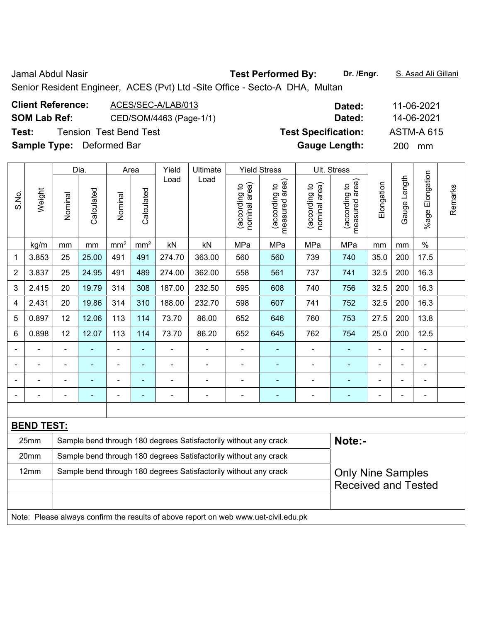Senior Resident Engineer, ACES (Pvt) Ltd -Site Office - Secto-A DHA, Multan

| <b>Client Reference:</b><br>ACES/SEC-A/LAB/013<br><b>SOM Lab Ref:</b><br>CED/SOM/4463 (Page-1/1)<br><b>Tension Test Bend Test</b><br>Test:<br><b>Sample Type:</b> Deformed Bar |        |         |                    |                 |                    |               |                  |                                     |                                                                          |                                     | Dated:<br>Dated:<br><b>Test Specification:</b><br><b>Gauge Length:</b> |            | 200                | 11-06-2021<br>14-06-2021<br><b>ASTM-A 615</b><br>mm |  |
|--------------------------------------------------------------------------------------------------------------------------------------------------------------------------------|--------|---------|--------------------|-----------------|--------------------|---------------|------------------|-------------------------------------|--------------------------------------------------------------------------|-------------------------------------|------------------------------------------------------------------------|------------|--------------------|-----------------------------------------------------|--|
| S.No.                                                                                                                                                                          | Weight | Nominal | Dia.<br>Calculated | Vominal         | Area<br>Calculated | Yield<br>Load | Ultimate<br>Load | area)<br>ೆ<br>(according<br>nominal | <b>Yield Stress</b><br>area)<br>$\overline{c}$<br>(according<br>measured | area)<br>요<br>(according<br>nominal | Ult. Stress<br>area)<br>$\mathbf{S}$<br>(according<br>measured         | Elongation | ength<br>uge<br>ලී | Elongation<br>$%$ age                               |  |
|                                                                                                                                                                                | kg/m   | mm      | mm                 | mm <sup>2</sup> | mm <sup>2</sup>    | kN            | kN               | MPa                                 | MPa                                                                      | MPa                                 | MPa                                                                    | mm         | mm                 | $\%$                                                |  |

| S.No.       | Weight                                                                              | Nominal                                                                                      | Calculated | Nominal                  | Calculated               | Luau                     | ∟∪au                                                             | nominal area)<br>(according to | measured area)<br>(according to | (according to<br>nominal area) | area)<br>(according to<br>measured | Elongation     | Gauge Lengt    | %age Elongati  | Remarks |
|-------------|-------------------------------------------------------------------------------------|----------------------------------------------------------------------------------------------|------------|--------------------------|--------------------------|--------------------------|------------------------------------------------------------------|--------------------------------|---------------------------------|--------------------------------|------------------------------------|----------------|----------------|----------------|---------|
|             | kg/m                                                                                | mm                                                                                           | mm         | mm <sup>2</sup>          | mm <sup>2</sup>          | kN                       | kN                                                               | MPa                            | MPa                             | MPa                            | MPa                                | mm             | mm             | $\%$           |         |
| $\mathbf 1$ | 3.853                                                                               | 25                                                                                           | 25.00      | 491                      | 491                      | 274.70                   | 363.00                                                           | 560                            | 560                             | 739                            | 740                                | 35.0           | 200            | 17.5           |         |
| 2           | 3.837                                                                               | 25                                                                                           | 24.95      | 491                      | 489                      | 274.00                   | 362.00                                                           | 558                            | 561                             | 737                            | 741                                | 32.5           | 200            | 16.3           |         |
| 3           | 2.415                                                                               | 20                                                                                           | 19.79      | 314                      | 308                      | 187.00                   | 232.50                                                           | 595                            | 608                             | 740                            | 756                                | 32.5           | 200            | 16.3           |         |
| 4           | 2.431                                                                               | 20                                                                                           | 19.86      | 314                      | 310                      | 188.00                   | 232.70                                                           | 598                            | 607                             | 741                            | 752                                | 32.5           | 200            | 16.3           |         |
| 5           | 0.897                                                                               | 12                                                                                           | 12.06      | 113                      | 114                      | 73.70                    | 86.00                                                            | 652                            | 646                             | 760                            | 753                                | 27.5           | 200            | 13.8           |         |
| 6           | 0.898                                                                               | 12                                                                                           | 12.07      | 113                      | 114                      | 73.70                    | 86.20                                                            | 652                            | 645                             | 762                            | 754                                | 25.0           | 200            | 12.5           |         |
|             |                                                                                     | $\blacksquare$                                                                               |            | $\blacksquare$           |                          |                          | ÷                                                                |                                |                                 |                                |                                    | $\blacksquare$ |                |                |         |
|             |                                                                                     | $\blacksquare$                                                                               |            | $\overline{\phantom{0}}$ | $\overline{\phantom{0}}$ |                          | $\blacksquare$                                                   |                                |                                 |                                |                                    |                |                |                |         |
|             |                                                                                     | ä,                                                                                           |            | $\overline{\phantom{a}}$ | $\blacksquare$           |                          | ÷                                                                |                                | ۳                               | ۰                              | $\blacksquare$                     | $\blacksquare$ | $\blacksquare$ | $\blacksquare$ |         |
|             |                                                                                     | $\overline{\phantom{0}}$                                                                     |            | $\blacksquare$           | ٠                        | $\overline{\phantom{0}}$ | $\overline{a}$                                                   | $\blacksquare$                 | ۳                               | ۰                              | $\overline{\phantom{0}}$           | $\blacksquare$ | $\blacksquare$ | $\blacksquare$ |         |
|             |                                                                                     |                                                                                              |            |                          |                          |                          |                                                                  |                                |                                 |                                |                                    |                |                |                |         |
|             | <b>BEND TEST:</b>                                                                   |                                                                                              |            |                          |                          |                          |                                                                  |                                |                                 |                                |                                    |                |                |                |         |
|             | 25mm                                                                                |                                                                                              |            |                          |                          |                          | Sample bend through 180 degrees Satisfactorily without any crack |                                |                                 |                                | Note:-                             |                |                |                |         |
|             | 20mm                                                                                |                                                                                              |            |                          |                          |                          | Sample bend through 180 degrees Satisfactorily without any crack |                                |                                 |                                |                                    |                |                |                |         |
|             | 12mm                                                                                | Sample bend through 180 degrees Satisfactorily without any crack<br><b>Only Nine Samples</b> |            |                          |                          |                          |                                                                  |                                |                                 |                                |                                    |                |                |                |         |
|             |                                                                                     |                                                                                              |            |                          |                          |                          |                                                                  |                                |                                 |                                | <b>Received and Tested</b>         |                |                |                |         |
|             |                                                                                     |                                                                                              |            |                          |                          |                          |                                                                  |                                |                                 |                                |                                    |                |                |                |         |
|             | Note: Please always confirm the results of above report on web www.uet-civil.edu.pk |                                                                                              |            |                          |                          |                          |                                                                  |                                |                                 |                                |                                    |                |                |                |         |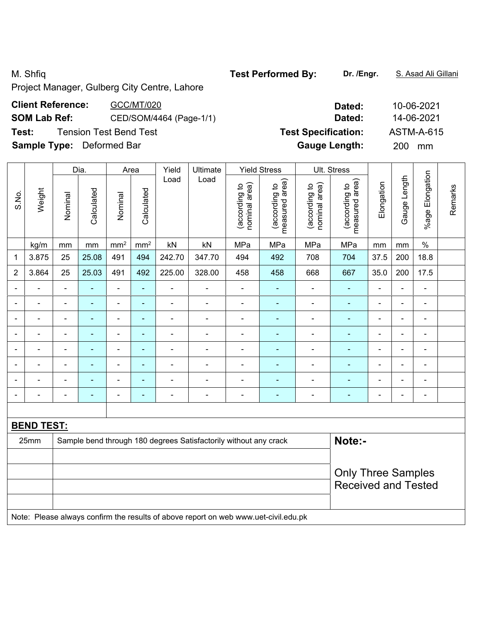M. Shfiq **Test Performed By: Dr. /Engr.** S. Asad Ali Gillani

Project Manager, Gulberg City Centre, Lahore

| <b>Client Reference:</b>         | GCC/MT/020              | Dated:                     | 10-06-202        |  |  |  |
|----------------------------------|-------------------------|----------------------------|------------------|--|--|--|
| <b>SOM Lab Ref:</b>              | CED/SOM/4464 (Page-1/1) | 14-06-202<br>Dated:        |                  |  |  |  |
| Test:                            | Tension Test Bend Test  | <b>Test Specification:</b> | ASTM-A-6         |  |  |  |
| <b>Sample Type:</b> Deformed Bar |                         | <b>Gauge Length:</b>       | <b>200</b><br>mm |  |  |  |

|                          |                   |                | Dia.                                                             |                 | Area                     | Yield          | Ultimate       |                                | <b>Yield Stress</b>                                                                                                                                                                                                               |                                | Ult. Stress                     |                |                |                          |         |
|--------------------------|-------------------|----------------|------------------------------------------------------------------|-----------------|--------------------------|----------------|----------------|--------------------------------|-----------------------------------------------------------------------------------------------------------------------------------------------------------------------------------------------------------------------------------|--------------------------------|---------------------------------|----------------|----------------|--------------------------|---------|
| S.No.                    | Weight            | Nominal        | Calculated                                                       | Nominal         | Calculated               | Load           | Load           | nominal area)<br>(according to | measured area)<br>(according to                                                                                                                                                                                                   | nominal area)<br>(according to | measured area)<br>(according to | Elongation     | Gauge Length   | %age Elongation          | Remarks |
|                          | kg/m              | mm             | mm                                                               | mm <sup>2</sup> | mm <sup>2</sup>          | kN             | kN             | MPa                            | MPa                                                                                                                                                                                                                               | MPa                            | MPa                             | mm             | mm             | $\%$                     |         |
| 1                        | 3.875             | 25             | 25.08                                                            | 491             | 494                      | 242.70         | 347.70         | 494                            | 492                                                                                                                                                                                                                               | 708                            | 704                             | 37.5           | 200            | 18.8                     |         |
| $\overline{2}$           | 3.864             | 25             | 25.03                                                            | 491             | 492                      | 225.00         | 328.00         | 458                            | 458                                                                                                                                                                                                                               | 668                            | 667                             | 35.0           | 200            | 17.5                     |         |
| $\blacksquare$           |                   | $\blacksquare$ | ÷,                                                               | $\blacksquare$  | $\blacksquare$           | ÷,             | $\blacksquare$ | $\blacksquare$                 | $\blacksquare$                                                                                                                                                                                                                    | $\blacksquare$                 | $\blacksquare$                  | $\blacksquare$ | $\blacksquare$ | $\blacksquare$           |         |
|                          |                   | Ē,             | $\blacksquare$                                                   | ÷,              | $\blacksquare$           | $\blacksquare$ |                | Ē,                             | ÷                                                                                                                                                                                                                                 | ÷                              | $\blacksquare$                  | $\blacksquare$ | Ē,             | $\blacksquare$           |         |
|                          |                   |                |                                                                  | ۰               | ۰                        | $\blacksquare$ |                |                                | ÷                                                                                                                                                                                                                                 |                                | $\blacksquare$                  | $\blacksquare$ | Ē,             | Ē,                       |         |
| $\overline{\phantom{0}}$ |                   | $\blacksquare$ | ÷                                                                | ÷               | ٠                        | ÷              | Ē,             | Ē,                             | ۰                                                                                                                                                                                                                                 | ۰                              | $\overline{\phantom{0}}$        | $\blacksquare$ | $\blacksquare$ | $\blacksquare$           |         |
| $\blacksquare$           |                   | $\blacksquare$ | $\blacksquare$                                                   | $\blacksquare$  | $\blacksquare$           | ÷              |                | ÷                              | ۰                                                                                                                                                                                                                                 |                                | $\blacksquare$                  | $\blacksquare$ | $\blacksquare$ | $\overline{\phantom{a}}$ |         |
|                          |                   | Ē,             | $\blacksquare$                                                   | ÷,              | ۰                        | $\blacksquare$ | Ē,             | L,                             | ۰                                                                                                                                                                                                                                 | ÷                              | $\blacksquare$                  | $\blacksquare$ | L,             | ä,                       |         |
|                          |                   |                | $\overline{a}$                                                   | ۰               | ۰                        |                |                |                                |                                                                                                                                                                                                                                   |                                |                                 |                | $\blacksquare$ | $\blacksquare$           |         |
| $\blacksquare$           |                   | ٠              | $\overline{\phantom{0}}$                                         | $\overline{a}$  | $\overline{\phantom{0}}$ | $\overline{a}$ | ٠              | ۰                              | $\overline{\phantom{a}}$                                                                                                                                                                                                          | $\overline{a}$                 | ۰                               | ۰              | -              | $\blacksquare$           |         |
|                          |                   |                |                                                                  |                 |                          |                |                |                                |                                                                                                                                                                                                                                   |                                |                                 |                |                |                          |         |
|                          | <b>BEND TEST:</b> |                |                                                                  |                 |                          |                |                |                                |                                                                                                                                                                                                                                   |                                |                                 |                |                |                          |         |
|                          | 25mm              |                | Sample bend through 180 degrees Satisfactorily without any crack |                 | Note:-                   |                |                |                                |                                                                                                                                                                                                                                   |                                |                                 |                |                |                          |         |
|                          |                   |                |                                                                  |                 |                          |                |                |                                |                                                                                                                                                                                                                                   |                                |                                 |                |                |                          |         |
|                          |                   |                |                                                                  |                 |                          |                |                |                                |                                                                                                                                                                                                                                   |                                | <b>Only Three Samples</b>       |                |                |                          |         |
|                          |                   |                |                                                                  |                 |                          |                |                |                                |                                                                                                                                                                                                                                   |                                | <b>Received and Tested</b>      |                |                |                          |         |
|                          |                   |                |                                                                  |                 |                          |                |                |                                |                                                                                                                                                                                                                                   |                                |                                 |                |                |                          |         |
| <b>ALCOHOL:</b>          | D.                | - 11           | $\sim$                                                           | $\mathbf{a}$    | $\mathbf{r}$             | $\sim$ $\sim$  |                |                                | $\mathbf{r}$ . The contract of the contract of the contract of the contract of the contract of the contract of the contract of the contract of the contract of the contract of the contract of the contract of the contract of th |                                |                                 |                |                |                          |         |

Note: Please always confirm the results of above report on web www.uet-civil.edu.pk

**Client Reference:** GCC/MT/020 **Dated:** 10-06-2021 **SOM Lab Ref:** CED/SOM/4464 (Page-1/1) **Dated:** 14-06-2021 Test Specification: <br>ASTM-A-615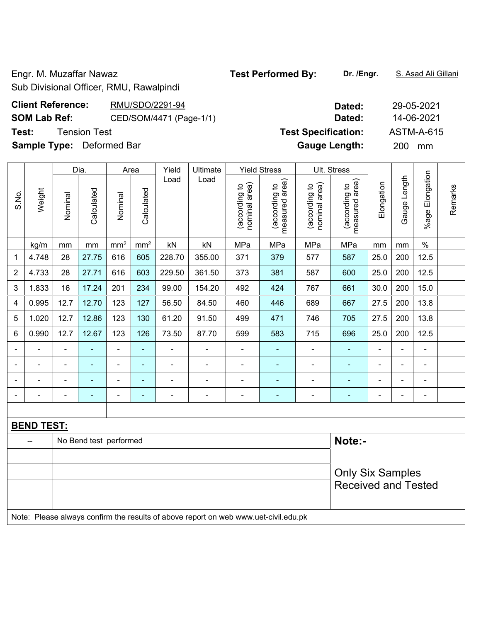Engr. M. Muzaffar Nawaz **Test Performed By: Dr. /Engr.** S. Asad Ali Gillani

Sub Divisional Officer, RMU, Rawalpindi

# **Client Reference:** RMU/SDO/2291-94 **SOM Lab Ref:** CED/SOM/4471 (Page-1/1) **Test: Tension Test Specification: Test Specification: Test Specification:**  $\mathsf{T}$

**Sample Type:** Deformed Bar

|                          |                   |                         | Dia.                   |                | Area          | Yield          | Ultimate                                                                            |                                | <b>Yield Stress</b>             |                                | Ult. Stress                     |                |                |                 |         |
|--------------------------|-------------------|-------------------------|------------------------|----------------|---------------|----------------|-------------------------------------------------------------------------------------|--------------------------------|---------------------------------|--------------------------------|---------------------------------|----------------|----------------|-----------------|---------|
| S.No.                    | Weight            | Nominal                 | Calculated             | Nominal        | Calculated    | Load           | Load                                                                                | nominal area)<br>(according to | measured area)<br>(according to | (according to<br>nominal area) | measured area)<br>(according to | Elongation     | Gauge Length   | %age Elongation | Remarks |
|                          | kg/m              | mm                      | mm                     | $\rm mm^2$     | $\text{mm}^2$ | kN             | kN                                                                                  | MPa                            | MPa                             | MPa                            | MPa                             | mm             | mm             | $\%$            |         |
| 1                        | 4.748             | 28                      | 27.75                  | 616            | 605           | 228.70         | 355.00                                                                              | 371                            | 379                             | 577                            | 587                             | 25.0           | 200            | 12.5            |         |
| 2                        | 4.733             | 28                      | 27.71                  | 616            | 603           | 229.50         | 361.50                                                                              | 373                            | 381                             | 587                            | 600                             | 25.0           | 200            | 12.5            |         |
| 3                        | 1.833             | 16                      | 17.24                  | 201            | 234           | 99.00          | 154.20                                                                              | 492                            | 424                             | 767                            | 661                             | 30.0           | 200            | 15.0            |         |
| 4                        | 0.995             | 12.7                    | 12.70                  | 123            | 127           | 56.50          | 84.50                                                                               | 460                            | 446                             | 689                            | 667                             | 27.5           | 200            | 13.8            |         |
| 5                        | 1.020             | 12.7                    | 12.86                  | 123            | 130           | 61.20          | 91.50                                                                               | 499                            | 471                             | 746                            | 705                             | 27.5           | 200            | 13.8            |         |
| 6                        | 0.990             | 12.7                    | 12.67                  | 123            | 126           | 73.50          | 87.70                                                                               | 599                            | 583                             | 715                            | 696                             | 25.0           | 200            | 12.5            |         |
| $\overline{\phantom{0}}$ |                   |                         |                        | $\blacksquare$ | ä,            |                |                                                                                     | $\blacksquare$                 |                                 |                                |                                 | ÷              | $\blacksquare$ | $\blacksquare$  |         |
|                          |                   | $\blacksquare$          | ÷,                     | $\blacksquare$ | ۰             | $\blacksquare$ | $\blacksquare$                                                                      | $\blacksquare$                 |                                 | $\blacksquare$                 | Ē,                              | ä,             | $\blacksquare$ | $\blacksquare$  |         |
|                          |                   | $\blacksquare$          | $\blacksquare$         | $\blacksquare$ | ٠             | $\blacksquare$ | $\overline{a}$                                                                      | $\blacksquare$                 | $\blacksquare$                  | $\blacksquare$                 | $\blacksquare$                  | $\blacksquare$ | $\blacksquare$ | $\blacksquare$  |         |
|                          | ä,                | $\blacksquare$          | $\blacksquare$         | ÷,             | ÷,            | $\blacksquare$ | $\blacksquare$                                                                      | $\blacksquare$                 | ÷                               | $\blacksquare$                 | ä,                              | L,             | $\blacksquare$ | $\blacksquare$  |         |
|                          |                   |                         |                        |                |               |                |                                                                                     |                                |                                 |                                |                                 |                |                |                 |         |
|                          | <b>BEND TEST:</b> |                         |                        |                |               |                |                                                                                     |                                |                                 |                                |                                 |                |                |                 |         |
|                          |                   |                         | No Bend test performed |                |               |                |                                                                                     |                                |                                 |                                | Note:-                          |                |                |                 |         |
|                          |                   |                         |                        |                |               |                |                                                                                     |                                |                                 |                                |                                 |                |                |                 |         |
|                          |                   | <b>Only Six Samples</b> |                        |                |               |                |                                                                                     |                                |                                 |                                |                                 |                |                |                 |         |
|                          |                   |                         |                        |                |               |                |                                                                                     |                                |                                 |                                | <b>Received and Tested</b>      |                |                |                 |         |
|                          |                   |                         |                        |                |               |                |                                                                                     |                                |                                 |                                |                                 |                |                |                 |         |
|                          |                   |                         |                        |                |               |                | Note: Please always confirm the results of above report on web www.uet-civil.edu.pk |                                |                                 |                                |                                 |                |                |                 |         |

| Dated:               | 29-05-2021        |
|----------------------|-------------------|
| Dated:               | 14-06-2021        |
| est Specification:   | <b>ASTM-A-615</b> |
| <b>Gauge Length:</b> | 200<br>mm         |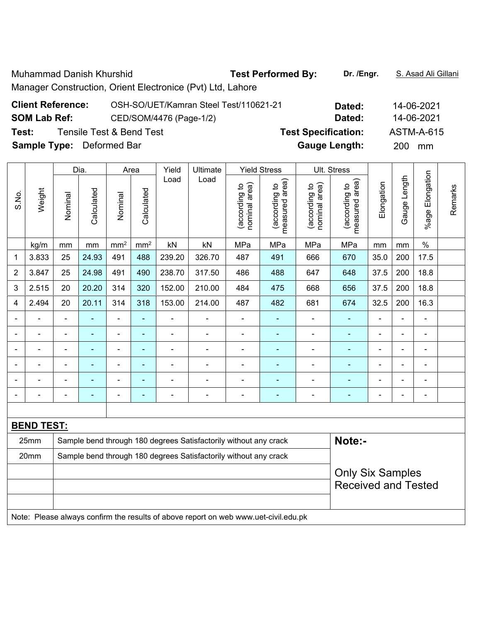Muhammad Danish Khurshid **Test Performed By:** Dr. /Engr. **S. Asad Ali Gillani** Manager Construction, Orient Electronice (Pvt) Ltd, Lahore

| <b>Client Reference:</b>         | OSH-SO/UET/Kamran Steel Test/110621-21 | Dated:                     | 14-06-2021 |
|----------------------------------|----------------------------------------|----------------------------|------------|
| <b>SOM Lab Ref:</b>              | CED/SOM/4476 (Page-1/2)                | Dated:                     | 14-06-2021 |
| Test:                            | Tensile Test & Bend Test               | <b>Test Specification:</b> | ASTM-A-615 |
| <b>Sample Type:</b> Deformed Bar |                                        | <b>Gauge Length:</b>       | 200 mm     |

|                |                   |                                                                  | Dia.                     |                 | Area            | Yield          | Ultimate                                                         |                                | <b>Yield Stress</b>             |                                | Ult. Stress                     |                |                          |                 |         |  |  |  |
|----------------|-------------------|------------------------------------------------------------------|--------------------------|-----------------|-----------------|----------------|------------------------------------------------------------------|--------------------------------|---------------------------------|--------------------------------|---------------------------------|----------------|--------------------------|-----------------|---------|--|--|--|
| S.No.          | Weight            | Nominal                                                          | Calculated               | Nominal         | Calculated      | Load           | Load                                                             | nominal area)<br>(according to | measured area)<br>(according to | (according to<br>nominal area) | measured area)<br>(according to | Elongation     | Gauge Length             | %age Elongation | Remarks |  |  |  |
|                | kg/m              | mm                                                               | mm                       | mm <sup>2</sup> | mm <sup>2</sup> | kN             | kN                                                               | MPa                            | MPa                             | MPa                            | MPa                             | mm             | mm                       | $\frac{0}{0}$   |         |  |  |  |
| $\mathbf 1$    | 3.833             | 25                                                               | 24.93                    | 491             | 488             | 239.20         | 326.70                                                           | 487                            | 491                             | 666                            | 670                             | 35.0           | 200                      | 17.5            |         |  |  |  |
| $\overline{2}$ | 3.847             | 25                                                               | 24.98                    | 491             | 490             | 238.70         | 317.50                                                           | 486                            | 488                             | 647                            | 648                             | 37.5           | 200                      | 18.8            |         |  |  |  |
| 3              | 2.515             | 20                                                               | 20.20                    | 314             | 320             | 152.00         | 210.00                                                           | 484                            | 475                             | 668                            | 656                             | 37.5           | 200                      | 18.8            |         |  |  |  |
| 4              | 2.494             | 20                                                               | 20.11                    | 314             | 318             | 153.00         | 214.00                                                           | 487                            | 482                             | 681                            | 674                             | 32.5           | 200                      | 16.3            |         |  |  |  |
|                |                   |                                                                  | $\blacksquare$           | ä,              | ä,              |                |                                                                  | -                              | $\blacksquare$                  |                                | $\blacksquare$                  |                |                          | $\blacksquare$  |         |  |  |  |
|                |                   |                                                                  | $\overline{\phantom{0}}$ | $\overline{a}$  | ٠               | ۰              | ٠                                                                | -                              | ۰                               |                                | $\overline{\phantom{0}}$        | $\overline{a}$ | $\overline{\phantom{0}}$ | ۰               |         |  |  |  |
|                |                   |                                                                  | $\blacksquare$           | ۰               | $\blacksquare$  | $\blacksquare$ |                                                                  | $\blacksquare$                 | $\overline{\phantom{0}}$        | ÷                              | $\blacksquare$                  | $\blacksquare$ | $\blacksquare$           | $\blacksquare$  |         |  |  |  |
|                |                   |                                                                  | $\blacksquare$           | $\blacksquare$  | ٠               | $\blacksquare$ | $\blacksquare$                                                   | $\blacksquare$                 | ä,                              | ÷                              | $\blacksquare$                  | $\blacksquare$ |                          | $\blacksquare$  |         |  |  |  |
|                |                   |                                                                  |                          |                 |                 |                |                                                                  |                                | Ē.                              |                                |                                 |                |                          |                 |         |  |  |  |
|                |                   |                                                                  | ۰                        |                 |                 | ۰              |                                                                  | -                              | ۰                               | ÷                              | $\blacksquare$                  | $\blacksquare$ |                          | ۰               |         |  |  |  |
|                |                   |                                                                  |                          |                 |                 |                |                                                                  |                                |                                 |                                |                                 |                |                          |                 |         |  |  |  |
|                | <b>BEND TEST:</b> |                                                                  |                          |                 |                 |                |                                                                  |                                |                                 |                                |                                 |                |                          |                 |         |  |  |  |
|                | 25mm              | Sample bend through 180 degrees Satisfactorily without any crack |                          |                 |                 |                |                                                                  |                                |                                 |                                | Note:-                          |                |                          |                 |         |  |  |  |
|                | 20mm              |                                                                  |                          |                 |                 |                | Sample bend through 180 degrees Satisfactorily without any crack |                                |                                 |                                |                                 |                |                          |                 |         |  |  |  |
|                |                   |                                                                  |                          |                 |                 |                |                                                                  |                                |                                 |                                | <b>Only Six Samples</b>         |                |                          |                 |         |  |  |  |
|                |                   |                                                                  |                          |                 |                 |                |                                                                  |                                |                                 |                                | <b>Received and Tested</b>      |                |                          |                 |         |  |  |  |
| $\mathbf{A}$   | D.                |                                                                  | $\sim$                   | $\blacksquare$  | $\mathbf{r}$    | $\sim$ $\sim$  |                                                                  |                                |                                 |                                |                                 |                |                          |                 |         |  |  |  |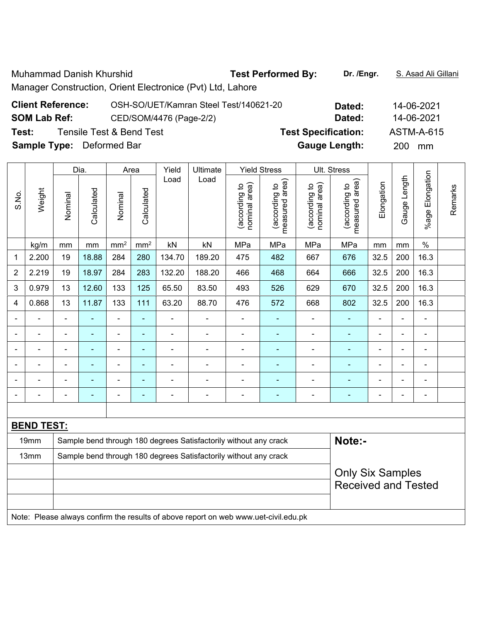Muhammad Danish Khurshid **Test Performed By:** Dr. /Engr. **S. Asad Ali Gillani** Manager Construction, Orient Electronice (Pvt) Ltd, Lahore

| <b>Client Reference:</b>         | OSH-SO/UET/Kamran Steel Test/140621-20 | Dated:                     | 14-06-2021 |
|----------------------------------|----------------------------------------|----------------------------|------------|
| <b>SOM Lab Ref:</b>              | CED/SOM/4476 (Page-2/2)                | Dated:                     | 14-06-2021 |
| Test:                            | Tensile Test & Bend Test               | <b>Test Specification:</b> | ASTM-A-615 |
| <b>Sample Type:</b> Deformed Bar |                                        | <b>Gauge Length:</b>       | 200<br>mm  |

|                   |                |                                                                  | Dia.           |                          | Area                     | Yield                    | Ultimate                                                         |                                | <b>Yield Stress</b>             |                                | Ult. Stress                     |                            |                |                      |         |  |
|-------------------|----------------|------------------------------------------------------------------|----------------|--------------------------|--------------------------|--------------------------|------------------------------------------------------------------|--------------------------------|---------------------------------|--------------------------------|---------------------------------|----------------------------|----------------|----------------------|---------|--|
| S.No.             | Weight         | Nominal                                                          | Calculated     | Nominal                  | Calculated               | Load                     | Load                                                             | nominal area)<br>(according to | measured area)<br>(according to | nominal area)<br>(according to | measured area)<br>(according to | Elongation                 | Gauge Length   | Elongation<br>%age I | Remarks |  |
|                   | kg/m           | mm                                                               | mm             | mm <sup>2</sup>          | mm <sup>2</sup>          | kN                       | kN                                                               | MPa                            | MPa                             | MPa                            | MPa                             | mm                         | mm             | $\frac{0}{0}$        |         |  |
| 1                 | 2.200          | 19                                                               | 18.88          | 284                      | 280                      | 134.70                   | 189.20                                                           | 475                            | 482                             | 667                            | 676                             | 32.5                       | 200            | 16.3                 |         |  |
| $\overline{2}$    | 2.219          | 19                                                               | 18.97          | 284                      | 283                      | 132.20                   | 188.20                                                           | 466                            | 468                             | 664                            | 666                             | 32.5                       | 200            | 16.3                 |         |  |
| 3                 | 0.979          | 13                                                               | 12.60          | 133                      | 125                      | 65.50                    | 83.50                                                            | 493                            | 526                             | 629                            | 670                             | 32.5                       | 200            | 16.3                 |         |  |
| 4                 | 0.868          | 13                                                               | 11.87          | 133                      | 111                      | 63.20                    | 88.70                                                            | 476                            | 572                             | 668                            | 802                             | 32.5                       | 200            | 16.3                 |         |  |
|                   | ÷              | $\blacksquare$                                                   | ä,             | ÷                        | ÷,                       | $\blacksquare$           | $\blacksquare$                                                   | $\blacksquare$                 | ۰                               | ÷                              | $\blacksquare$                  | $\blacksquare$             | $\blacksquare$ | $\blacksquare$       |         |  |
|                   | $\blacksquare$ | $\overline{a}$                                                   | $\blacksquare$ | $\blacksquare$           | $\blacksquare$           | $\overline{\phantom{0}}$ | $\overline{\phantom{0}}$                                         | $\overline{a}$                 | ۰                               | ÷                              | $\blacksquare$                  | $\blacksquare$             | $\blacksquare$ | $\blacksquare$       |         |  |
|                   |                |                                                                  |                | $\blacksquare$           | $\blacksquare$           |                          |                                                                  | $\overline{\phantom{0}}$       |                                 | $\overline{a}$                 |                                 | $\blacksquare$             |                |                      |         |  |
|                   |                | $\blacksquare$                                                   | $\blacksquare$ | $\overline{\phantom{0}}$ | $\blacksquare$           | $\blacksquare$           | $\blacksquare$                                                   | $\blacksquare$                 | ۰                               | -                              | $\blacksquare$                  | $\blacksquare$             | $\blacksquare$ | $\blacksquare$       |         |  |
|                   |                | $\blacksquare$                                                   |                | $\blacksquare$           | $\blacksquare$           |                          |                                                                  |                                | ۰                               |                                |                                 |                            |                | $\blacksquare$       |         |  |
|                   |                |                                                                  | $\blacksquare$ | $\overline{a}$           | $\overline{\phantom{0}}$ | $\blacksquare$           |                                                                  | ۰                              | ۳                               | -                              | $\blacksquare$                  | $\blacksquare$             | $\blacksquare$ | $\blacksquare$       |         |  |
|                   |                |                                                                  |                |                          |                          |                          |                                                                  |                                |                                 |                                |                                 |                            |                |                      |         |  |
| <b>BEND TEST:</b> |                |                                                                  |                |                          |                          |                          |                                                                  |                                |                                 |                                |                                 |                            |                |                      |         |  |
|                   | 19mm           | Sample bend through 180 degrees Satisfactorily without any crack |                |                          |                          |                          |                                                                  |                                |                                 |                                | Note:-                          |                            |                |                      |         |  |
|                   | 13mm           |                                                                  |                |                          |                          |                          | Sample bend through 180 degrees Satisfactorily without any crack |                                |                                 |                                |                                 |                            |                |                      |         |  |
|                   |                |                                                                  |                |                          |                          |                          |                                                                  |                                |                                 |                                | <b>Only Six Samples</b>         |                            |                |                      |         |  |
|                   |                |                                                                  |                |                          |                          |                          |                                                                  |                                |                                 |                                |                                 | <b>Received and Tested</b> |                |                      |         |  |
|                   |                |                                                                  |                |                          |                          |                          |                                                                  |                                |                                 |                                |                                 |                            |                |                      |         |  |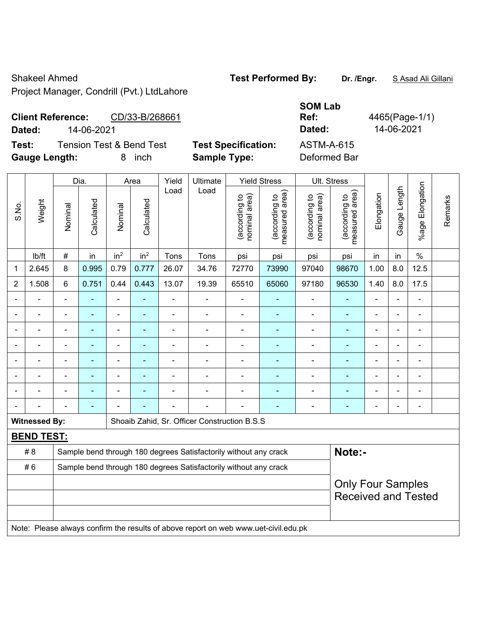Shakeel Ahmed **Test Performed By: Dr. /Engr.** S Asad Ali Gillani

Project Manager, Condrill (Pvt.) LtdLahore

#### **Client Reference:** CD/33-B/268661 **Dated:** 14-06-2021 **Dated:** 14-06-2021

**Test:** Tension Test & Bend Test **Test Specification:** 

**Gauge Length:** 8 inch **Sample Type:** Deformed Bar

| <b>SOM Lab</b>       |                |
|----------------------|----------------|
| Ref:                 | 4465(Page-1/1) |
| Dated:               | 14-06-2021     |
| ASTM-A-615           |                |
| D - f -  - - - 1 D - |                |

Dia. | Area | Yield | Ultimate | Yield Stress | Ult. Stress %age Elongation %age Elongation Gauge Length Load Load Gauge Length (according to<br>measured area) measured area) (according to<br>measured area) measured area) (according to<br>nominal area) (according to<br>nominal area) **Elongation** nominal area) nominal area) Elongation (according to (according to (according to (according to Remarks Remarks **Calculated Calculated** Weight Calculated Calculated S.No. Nominal Nominal Vominal Vominal <code>ib/ft | # |</code> in <code>|</code> in $^2$  | in $^2$  | Tons | Tons | psi | psi | psi | psi | in | in | % 1 2.645 8 0.995 0.79 0.777 26.07 34.76 72770 73990 97040 98670 1.00 8.0 12.5 2 | 1.508 | 6 | 0.751 | 0.44 | 0.443 | 13.07 | 19.39 | 65510 | 65060 | 97180 | 96530 | 1.40 | 8.0 | 17.5 - - - - - - - - - - - - - - - - - - - - - - - - - - - - - - - - - - - - - - - - - - - - - - - - - - - - - - - - - - - - - - - - - - - - - - - - - - - - - - - - - - - - - - - - - - - - - - - - - - - - - - - - - - - - - - - - - - - - - - - - **Witnessed By:** | Shoaib Zahid, Sr. Officer Construction B.S.S **BEND TEST:**  # 8 Sample bend through 180 degrees Satisfactorily without any crack **Note:- Note:** #6 Sample bend through 180 degrees Satisfactorily without any crack Only Four Samples Received and Tested Note: Please always confirm the results of above report on web www.uet-civil.edu.pk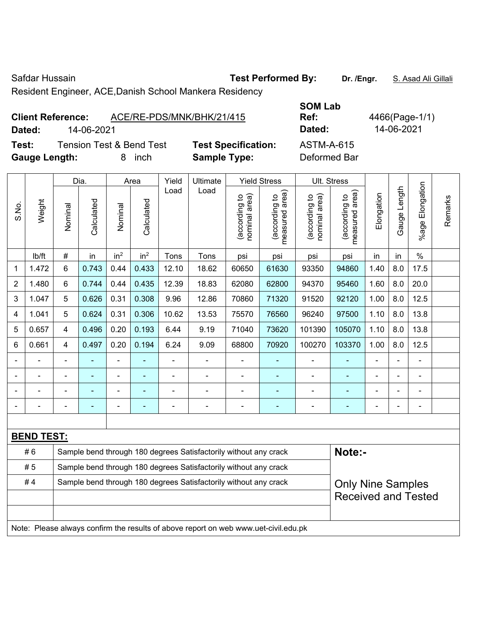$\top$ 

Safdar Hussain **Test Performed By:** Dr. /Engr. **S. Asad Ali Gillali** Safdar Hussain

Resident Engineer, ACE,Danish School Mankera Residency

# **Client Reference:** ACE/RE-PDS/MNK/BHK/21/415 **Dated:** 14-06-2021 **Dated:** 14-06-2021

 $\mathsf{L}$ 

**Test:** Tension Test & Bend Test **Test Specification: Gauge Length:** 8 inch **Sample Type:** Deformed Bar

| <b>SOM Lab</b>    |   |
|-------------------|---|
| Ref:              | í |
| Dated:            |   |
| <b>ASTM-A-615</b> |   |
|                   |   |

**Ref:** 4466(Page-1/1)

|       |                   | Dia.<br><b>Yield Stress</b><br>Yield<br>Ultimate<br>Area                   |            |                 |                 |       |                                                                  |                          |                                    |                                | Ult. Stress                       |                |              |                       |         |
|-------|-------------------|----------------------------------------------------------------------------|------------|-----------------|-----------------|-------|------------------------------------------------------------------|--------------------------|------------------------------------|--------------------------------|-----------------------------------|----------------|--------------|-----------------------|---------|
| S.No. | Weight            | Nominal                                                                    | Calculated | Nominal         | Calculated      | Load  | Load                                                             | nominal area)<br>ding to | area)<br>(according to<br>measured | (according to<br>nominal area) | area)<br>according to<br>measured | Elongation     | Gauge Length | Elongation<br>$%$ age | Remarks |
|       | lb/ft             | $\#$                                                                       | in         | in <sup>2</sup> | in <sup>2</sup> | Tons  | Tons                                                             | psi                      | psi                                | psi                            | psi                               | in             | in           | $\%$                  |         |
| 1     | 1.472             | 6                                                                          | 0.743      | 0.44            | 0.433           | 12.10 | 18.62                                                            | 60650                    | 61630                              | 93350                          | 94860                             | 1.40           | 8.0          | 17.5                  |         |
| 2     | 1.480             | 6                                                                          | 0.744      | 0.44            | 0.435           | 12.39 | 18.83                                                            | 62080                    | 62800                              | 94370                          | 95460                             | 1.60           | 8.0          | 20.0                  |         |
| 3     | 1.047             | 5                                                                          | 0.626      | 0.31            | 0.308           | 9.96  | 12.86                                                            | 70860                    | 71320                              | 91520                          | 92120                             | 1.00           | 8.0          | 12.5                  |         |
| 4     | 1.041             | 5                                                                          | 0.624      | 0.31            | 0.306           | 10.62 | 13.53                                                            | 75570                    | 76560                              | 96240                          | 97500                             | 1.10           | 8.0          | 13.8                  |         |
| 5     | 0.657             | 4                                                                          | 0.496      | 0.20            | 0.193           | 6.44  | 9.19                                                             | 71040                    | 73620                              | 101390                         | 105070                            | 1.10           | 8.0          | 13.8                  |         |
| 6     | 0.661             | 4                                                                          | 0.497      | 0.20            | 0.194           | 6.24  | 9.09                                                             | 68800                    | 70920                              | 100270                         | 103370                            | 1.00           | 8.0          | 12.5                  |         |
|       |                   | $\blacksquare$                                                             |            | ÷,              |                 |       | $\blacksquare$                                                   |                          |                                    |                                | $\blacksquare$                    | $\blacksquare$ | ÷            | ÷,                    |         |
|       |                   | $\blacksquare$                                                             |            | -               |                 |       | -                                                                | -                        |                                    |                                |                                   |                |              | $\overline{a}$        |         |
|       |                   | $\blacksquare$                                                             |            | ۰               |                 |       | $\blacksquare$                                                   |                          | ۰                                  |                                |                                   | $\blacksquare$ |              | ÷                     |         |
|       |                   |                                                                            |            |                 |                 |       | ۰                                                                |                          | ۰                                  |                                | $\blacksquare$                    |                |              |                       |         |
|       |                   |                                                                            |            |                 |                 |       |                                                                  |                          |                                    |                                |                                   |                |              |                       |         |
|       | <b>BEND TEST:</b> |                                                                            |            |                 |                 |       |                                                                  |                          |                                    |                                |                                   |                |              |                       |         |
|       | #6                | Note:-<br>Sample bend through 180 degrees Satisfactorily without any crack |            |                 |                 |       |                                                                  |                          |                                    |                                |                                   |                |              |                       |         |
|       | #5                |                                                                            |            |                 |                 |       | Sample bend through 180 degrees Satisfactorily without any crack |                          |                                    |                                |                                   |                |              |                       |         |
|       | #4                |                                                                            |            |                 |                 |       | Sample bend through 180 degrees Satisfactorily without any crack |                          |                                    |                                | <b>Only Nine Samples</b>          |                |              |                       |         |
|       |                   |                                                                            |            |                 |                 |       |                                                                  |                          |                                    |                                | <b>Received and Tested</b>        |                |              |                       |         |
|       |                   |                                                                            |            |                 |                 |       |                                                                  |                          |                                    |                                |                                   |                |              |                       |         |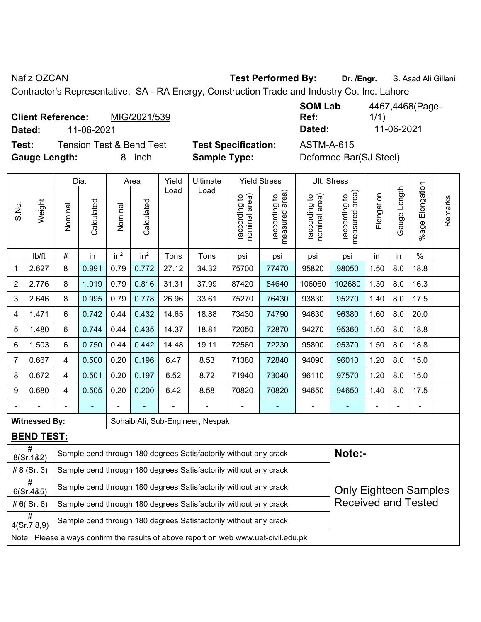Nafiz OZCAN **Test Performed By: Dr. /Engr.** S. Asad Ali Gillani

Contractor's Representative, SA - RA Energy, Construction Trade and Industry Co. Inc. Lahore

**Client Reference:** MIG/2021/539 **Dated:** 11-06-2021 **Dated:** 11-06-2021

**Test:** Tension Test & Bend Test **Test Specification:** ASTM-A-615 **Gauge Length:** 8 inch **Sample Type:** Deformed Bar(SJ Steel)

| <b>SOM Lab</b>      | 4467,4468(Page- |
|---------------------|-----------------|
| Ref:                | 1/1)            |
| Dated:              | 11-06-2021      |
| 8 8 7 8 8 7 8 7 8 7 |                 |

Dia. | Area | Yield | Ultimate | Yield Stress | Ult. Stress %age Elongation %age Elongation Gauge Length Load Load Gauge Length measured area) (according to<br>measured area) measured area) (according to<br>nominal area) (according to<br>nominal area) (according to<br>measured area) **Elongation** nominal area) nominal area) Elongation (according to (according to (according to (according to Remarks Remarks **Calculated Calculated** Weight Calculated Calculated S.No. Nominal Nominal Vominal Vominal <code>ib/ft</code>  $\mid$  #  $\mid$  in  $\mid$  in<sup>2</sup>  $\mid$  in<sup>2</sup>  $\mid$  Tons  $\mid$  psi  $\mid$  psi  $\mid$  psi  $\mid$  psi  $\mid$  in  $\mid$  in  $\mid$  % 1 | 2.627 | 8 | 0.991 | 0.79 | 0.772 | 27.12 | 34.32 | 75700 | 77470 | 95820 | 98050 | 1.50 | 8.0 | 18.8 2 | 2.776 | 8 | 1.019 | 0.79 | 0.816 | 31.31 | 37.99 | 87420 | 84640 | 106060 | 102680 | 1.30 | 8.0 | 16.3 3 | 2.646 | 8 | 0.995 | 0.79 | 0.778 | 26.96 | 33.61 | 75270 | 76430 | 93830 | 95270 | 1.40 | 8.0 | 17.5 4 | 1.471 | 6 | 0.742 | 0.44 | 0.432 | 14.65 | 18.88 | 73430 | 74790 | 94630 | 96380 | 1.60 | 8.0 | 20.0 5 | 1.480 | 6 | 0.744 | 0.44 | 0.435 | 14.37 | 18.81 | 72050 | 72870 | 94270 | 95360 | 1.50 | 8.0 | 18.8 6 | 1.503 | 6 | 0.750 | 0.44 | 0.442 | 14.48 | 19.11 | 72560 | 72230 | 95800 | 95370 | 1.50 | 8.0 | 18.8 7 | 0.667 | 4 | 0.500 | 0.20 | 0.196 | 6.47 | 8.53 | 71380 | 72840 | 94090 | 96010 | 1.20 | 8.0 | 15.0 8 | 0.672 | 4 | 0.501 | 0.20 | 0.197 | 6.52 | 8.72 | 71940 | 73040 | 96110 | 97570 | 1.20 | 8.0 | 15.0 9 | 0.680 | 4 | 0.505 | 0.20 | 0.200 | 6.42 | 8.58 | 70820 | 70820 | 94650 | 94650 | 1.40 | 8.0 | 17.5 - - - - - - - - - - - - - - - **Witnessed By: Sohaib Ali, Sub-Engineer, Nespak BEND TEST:**  #<br>8(Sr.1&2) Sample bend through 180 degrees Satisfactorily without any crack **Note:**-# 8 (Sr. 3) Sample bend through 180 degrees Satisfactorily without any crack #  $\sigma$  Sample bend through 180 degrees Satisfactorily without any crack Only Eighteen Samples Received and Tested # 6( Sr. 6) Sample bend through 180 degrees Satisfactorily without any crack #  $4(Sr.7,8.9)$  Sample bend through 180 degrees Satisfactorily without any crack Note: Please always confirm the results of above report on web www.uet-civil.edu.pk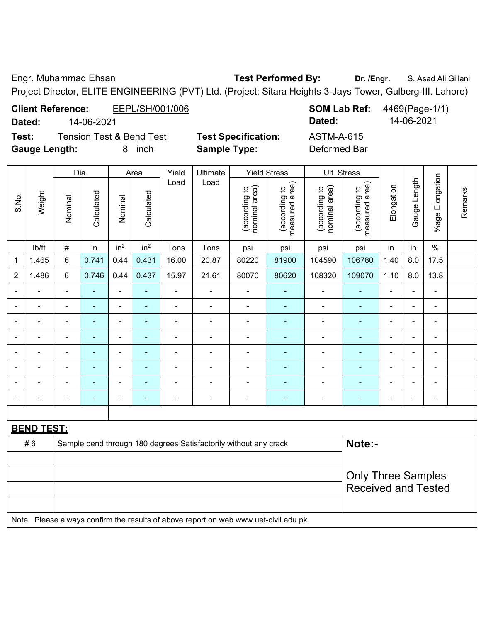Engr. Muhammad Ehsan **Test Performed By:** Dr. /Engr. S. Asad Ali Gillani

Project Director, ELITE ENGINEERING (PVT) Ltd. (Project: Sitara Heights 3-Jays Tower, Gulberg-III. Lahore)

**Client Reference:** EEPL/SH/001/006 **SOM Lab Ref:** 4469(Page-1/1) **Dated:** 14-06-2021 **Dated:** 14-06-2021

|                | Test:<br><b>Gauge Length:</b><br>Dia.                                               |                                                         |                          | <b>Tension Test &amp; Bend Test</b><br>8<br>inch |                 |                              | <b>Test Specification:</b><br><b>Sample Type:</b>                |                                |                                 | <b>ASTM-A-615</b><br>Deformed Bar |                                 |                |                          |                 |         |
|----------------|-------------------------------------------------------------------------------------|---------------------------------------------------------|--------------------------|--------------------------------------------------|-----------------|------------------------------|------------------------------------------------------------------|--------------------------------|---------------------------------|-----------------------------------|---------------------------------|----------------|--------------------------|-----------------|---------|
|                |                                                                                     |                                                         |                          |                                                  | Area            | Yield                        | Ultimate                                                         |                                | <b>Yield Stress</b>             | Ult. Stress                       |                                 |                |                          |                 |         |
| S.No.          | Weight                                                                              | Nominal                                                 | Calculated               | Nominal                                          | Calculated      | Load                         | Load                                                             | (according to<br>nominal area) | (according to<br>measured area) | (according to<br>nominal area)    | measured area)<br>(according to | Elongation     | Gauge Length             | %age Elongation | Remarks |
|                | Ib/ft                                                                               | $\#$                                                    | in                       | in <sup>2</sup>                                  | in <sup>2</sup> | Tons                         | Tons                                                             | psi                            | psi                             | psi                               | psi                             | in             | in                       | $\%$            |         |
| $\mathbf 1$    | 1.465                                                                               | 6                                                       | 0.741                    | 0.44                                             | 0.431           | 16.00                        | 20.87                                                            | 80220                          | 81900                           | 104590                            | 106780                          | 1.40           | 8.0                      | 17.5            |         |
| $\overline{2}$ | 1.486                                                                               | 6                                                       | 0.746                    | 0.44                                             | 0.437           | 15.97                        | 21.61                                                            | 80070                          | 80620                           | 108320                            | 109070                          | 1.10           | 8.0                      | 13.8            |         |
|                |                                                                                     | L,                                                      |                          |                                                  | ä,              | $\blacksquare$               |                                                                  | ÷,                             | ä,                              | $\blacksquare$                    | $\blacksquare$                  |                |                          | ÷               |         |
|                |                                                                                     | ÷,                                                      | ÷,                       | $\overline{\phantom{a}}$                         | ÷,              | $\qquad \qquad \blacksquare$ | $\blacksquare$                                                   | $\blacksquare$                 | $\blacksquare$                  | $\blacksquare$                    | $\blacksquare$                  | ä,             | $\overline{\phantom{a}}$ | $\blacksquare$  |         |
|                |                                                                                     | ÷,                                                      | $\blacksquare$           |                                                  | ä,              | $\blacksquare$               | $\blacksquare$                                                   | $\overline{\phantom{a}}$       | $\blacksquare$                  | $\overline{\phantom{a}}$          | $\blacksquare$                  | $\blacksquare$ |                          | $\blacksquare$  |         |
|                |                                                                                     | -                                                       | $\blacksquare$           | ä,                                               | ä,              | -                            | $\overline{a}$                                                   | $\blacksquare$                 | $\blacksquare$                  | $\qquad \qquad \blacksquare$      | $\blacksquare$                  | $\blacksquare$ |                          | $\blacksquare$  |         |
|                |                                                                                     | ÷                                                       | $\overline{\phantom{a}}$ |                                                  | ä,              | $\blacksquare$               | $\blacksquare$                                                   | $\overline{\phantom{a}}$       | $\blacksquare$                  | $\blacksquare$                    | $\blacksquare$                  | $\blacksquare$ |                          | ÷,              |         |
|                | $\blacksquare$                                                                      | $\blacksquare$                                          | $\blacksquare$           | $\blacksquare$                                   | $\blacksquare$  | $\blacksquare$               | $\blacksquare$                                                   | $\blacksquare$                 | $\blacksquare$                  | $\qquad \qquad \blacksquare$      | $\blacksquare$                  | $\blacksquare$ |                          | $\blacksquare$  |         |
|                |                                                                                     |                                                         |                          |                                                  | $\blacksquare$  |                              |                                                                  | $\blacksquare$                 | $\blacksquare$                  | Ē,                                | $\blacksquare$                  |                |                          | $\blacksquare$  |         |
|                |                                                                                     | $\blacksquare$                                          |                          |                                                  | -               | $\blacksquare$               |                                                                  | $\blacksquare$                 | $\blacksquare$                  | $\blacksquare$                    | $\blacksquare$                  |                |                          | $\blacksquare$  |         |
|                |                                                                                     |                                                         |                          |                                                  |                 |                              |                                                                  |                                |                                 |                                   |                                 |                |                          |                 |         |
|                | <b>BEND TEST:</b>                                                                   |                                                         |                          |                                                  |                 |                              |                                                                  |                                |                                 |                                   |                                 |                |                          |                 |         |
|                | #6                                                                                  |                                                         |                          |                                                  |                 |                              | Sample bend through 180 degrees Satisfactorily without any crack |                                |                                 |                                   | Note:-                          |                |                          |                 |         |
|                |                                                                                     | <b>Only Three Samples</b><br><b>Received and Tested</b> |                          |                                                  |                 |                              |                                                                  |                                |                                 |                                   |                                 |                |                          |                 |         |
|                | Note: Please always confirm the results of above report on web www.uet-civil.edu.pk |                                                         |                          |                                                  |                 |                              |                                                                  |                                |                                 |                                   |                                 |                |                          |                 |         |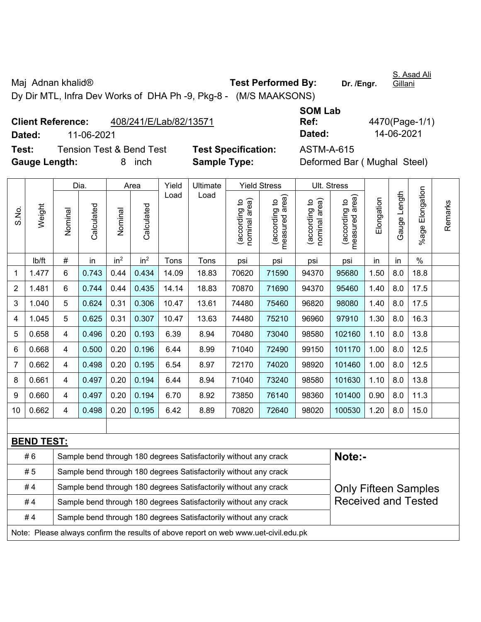Maj Adnan khalid<sup>®</sup> **Test Performed By:** Dr. /Engr.

S. Asad Ali Gillani

Dy Dir MTL, Infra Dev Works of DHA Ph -9, Pkg-8 - (M/S MAAKSONS)

|        | <b>Client Reference:</b><br>408/241/E/Lab/82/13571 |                            | Ref:       | 4470(Page-1/ |
|--------|----------------------------------------------------|----------------------------|------------|--------------|
| Dated: | 11-06-2021                                         |                            | Dated:     | 14-06-2021   |
| Test:  | Tension Test & Bend Test                           | <b>Test Specification:</b> | ASTM-A-615 |              |

**SOM Lab Ref:** 4470(Page-1/1)

**Gauge Length:** 8 inch **Sample Type:** Deformed Bar ( Mughal Steel)

**Specification:** ASTM-A-615

|                |                                                                                                       |         | Dia.       |                 | Area            | Yield | Ultimate                                                         |                                | <b>Yield Stress</b>             |                                         | Ult. Stress                     |            |              |                 |         |
|----------------|-------------------------------------------------------------------------------------------------------|---------|------------|-----------------|-----------------|-------|------------------------------------------------------------------|--------------------------------|---------------------------------|-----------------------------------------|---------------------------------|------------|--------------|-----------------|---------|
| S.No.          | Weight                                                                                                | Nominal | Calculated | Nominal         | Calculated      | Load  | Load                                                             | nominal area)<br>(according to | (according to<br>measured area) | area)<br>(according to<br>nominal area) | (according to<br>measured area) | Elongation | Gauge Length | %age Elongation | Remarks |
|                | lb/ft                                                                                                 | $\#$    | in         | in <sup>2</sup> | in <sup>2</sup> | Tons  | Tons                                                             | psi                            | psi                             | psi                                     | psi                             | in         | in           | $\%$            |         |
| 1              | 1.477                                                                                                 | 6       | 0.743      | 0.44            | 0.434           | 14.09 | 18.83                                                            | 70620                          | 71590                           | 94370                                   | 95680                           | 1.50       | 8.0          | 18.8            |         |
| $\overline{2}$ | 1.481                                                                                                 | 6       | 0.744      | 0.44            | 0.435           | 14.14 | 18.83                                                            | 70870                          | 71690                           | 94370                                   | 95460                           | 1.40       | 8.0          | 17.5            |         |
| 3              | 1.040                                                                                                 | 5       | 0.624      | 0.31            | 0.306           | 10.47 | 13.61                                                            | 74480                          | 75460                           | 96820                                   | 98080                           | 1.40       | 8.0          | 17.5            |         |
| 4              | 1.045                                                                                                 | 5       | 0.625      | 0.31            | 0.307           | 10.47 | 13.63                                                            | 74480                          | 75210                           | 96960                                   | 97910                           | 1.30       | 8.0          | 16.3            |         |
| 5              | 0.658                                                                                                 | 4       | 0.496      | 0.20            | 0.193           | 6.39  | 8.94                                                             | 70480                          | 73040                           | 98580                                   | 102160                          | 1.10       | 8.0          | 13.8            |         |
| 6              | 0.668                                                                                                 | 4       | 0.500      | 0.20            | 0.196           | 6.44  | 8.99                                                             | 71040                          | 72490                           | 99150                                   | 101170                          | 1.00       | 8.0          | 12.5            |         |
| $\overline{7}$ | 0.662                                                                                                 | 4       | 0.498      | 0.20            | 0.195           | 6.54  | 8.97                                                             | 72170                          | 74020                           | 98920                                   | 101460                          | 1.00       | 8.0          | 12.5            |         |
| 8              | 0.661                                                                                                 | 4       | 0.497      | 0.20            | 0.194           | 6.44  | 8.94                                                             | 71040                          | 73240                           | 98580                                   | 101630                          | 1.10       | 8.0          | 13.8            |         |
| 9              | 0.660                                                                                                 | 4       | 0.497      | 0.20            | 0.194           | 6.70  | 8.92                                                             | 73850                          | 76140                           | 98360                                   | 101400                          | 0.90       | 8.0          | 11.3            |         |
| 10             | 0.662                                                                                                 | 4       | 0.498      | 0.20            | 0.195           | 6.42  | 8.89                                                             | 70820                          | 72640                           | 98020                                   | 100530                          | 1.20       | 8.0          | 15.0            |         |
|                |                                                                                                       |         |            |                 |                 |       |                                                                  |                                |                                 |                                         |                                 |            |              |                 |         |
|                | <b>BEND TEST:</b>                                                                                     |         |            |                 |                 |       |                                                                  |                                |                                 |                                         |                                 |            |              |                 |         |
|                | #6                                                                                                    |         |            |                 |                 |       | Sample bend through 180 degrees Satisfactorily without any crack |                                |                                 |                                         | Note:-                          |            |              |                 |         |
|                | # 5                                                                                                   |         |            |                 |                 |       | Sample bend through 180 degrees Satisfactorily without any crack |                                |                                 |                                         |                                 |            |              |                 |         |
|                | Sample bend through 180 degrees Satisfactorily without any crack<br>#4<br><b>Only Fifteen Samples</b> |         |            |                 |                 |       |                                                                  |                                |                                 |                                         |                                 |            |              |                 |         |
|                | #4                                                                                                    |         |            |                 |                 |       | Sample bend through 180 degrees Satisfactorily without any crack |                                |                                 |                                         | <b>Received and Tested</b>      |            |              |                 |         |
|                | #4                                                                                                    |         |            |                 |                 |       | Sample bend through 180 degrees Satisfactorily without any crack |                                |                                 |                                         |                                 |            |              |                 |         |
|                | Note: Please always confirm the results of above report on web www.uet-civil.edu.pk                   |         |            |                 |                 |       |                                                                  |                                |                                 |                                         |                                 |            |              |                 |         |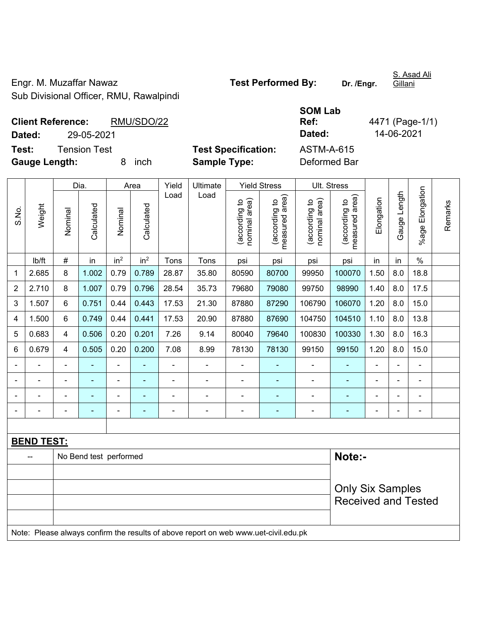Engr. M. Muzaffar Nawaz **Test Performed By:** Dr. /Engr. Sub Divisional Officer, RMU, Rawalpindi

**SOM Lab** 

**Ref:** 4471 (Page-1/1)

S. Asad Ali **Gillani** 

**Client Reference:** RMU/SDO/22 **Dated:** 29-05-2021 **Dated:** 14-06-2021 **Test:** Tension Test **Test Specification:** ASTM-A-615 **Gauge Length:** 8 inch **Sample Type:** Deformed Bar

|                          | ouugu             | -----                   |                          |                 |                 | oanipio i jpoi |                |                                |                                 |                                |                                 |                |                |                 |         |
|--------------------------|-------------------|-------------------------|--------------------------|-----------------|-----------------|----------------|----------------|--------------------------------|---------------------------------|--------------------------------|---------------------------------|----------------|----------------|-----------------|---------|
|                          |                   |                         | Dia.                     |                 | Area            | Yield          | Ultimate       |                                | <b>Yield Stress</b>             | Ult. Stress                    |                                 |                |                |                 |         |
| S.No.                    | Weight            | Nominal                 | Calculated               | Nominal         | Calculated      | Load           | Load           | (according to<br>nominal area) | measured area)<br>(according to | nominal area)<br>(according to | measured area)<br>(according to | Elongation     | Gauge Length   | %age Elongation | Remarks |
|                          | Ib/ft             | $\#$                    | in                       | in <sup>2</sup> | in <sup>2</sup> | Tons           | Tons           | psi                            | psi                             | psi                            | psi                             | in             | in             | $\%$            |         |
| $\mathbf 1$              | 2.685             | 8                       | 1.002                    | 0.79            | 0.789           | 28.87          | 35.80          | 80590                          | 80700                           | 99950                          | 100070                          | 1.50           | 8.0            | 18.8            |         |
| $\overline{2}$           | 2.710             | 8                       | 1.007                    | 0.79            | 0.796           | 28.54          | 35.73          | 79680                          | 79080                           | 99750                          | 98990                           | 1.40           | 8.0            | 17.5            |         |
| $\mathfrak{B}$           | 1.507             | 6                       | 0.751                    | 0.44            | 0.443           | 17.53          | 21.30          | 87880                          | 87290                           | 106790                         | 106070                          | 1.20           | 8.0            | 15.0            |         |
| $\overline{\mathcal{A}}$ | 1.500             | $6\phantom{1}$          | 0.749                    | 0.44            | 0.441           | 17.53          | 20.90          | 87880                          | 87690                           | 104750                         | 104510                          | 1.10           | 8.0            | 13.8            |         |
| 5                        | 0.683             | $\overline{\mathbf{4}}$ | 0.506                    | 0.20            | 0.201           | 7.26           | 9.14           | 80040                          | 79640                           | 100830                         | 100330                          | 1.30           | 8.0            | 16.3            |         |
| 6                        | 0.679             | 4                       | 0.505                    | 0.20            | 0.200           | 7.08           | 8.99           | 78130                          | 78130                           | 99150                          | 99150                           | 1.20           | 8.0            | 15.0            |         |
|                          |                   | $\blacksquare$          |                          | $\blacksquare$  |                 | $\blacksquare$ | ÷              | $\qquad \qquad \blacksquare$   | $\overline{\phantom{a}}$        | $\overline{\phantom{a}}$       |                                 | ä,             | $\blacksquare$ | ÷,              |         |
|                          |                   | ä,                      |                          | $\blacksquare$  | ä,              | $\blacksquare$ | $\blacksquare$ | $\blacksquare$                 | ÷,                              | $\blacksquare$                 |                                 | ä,             | $\blacksquare$ | $\blacksquare$  |         |
|                          |                   | $\blacksquare$          | $\overline{\phantom{0}}$ | $\blacksquare$  |                 | ä,             | $\blacksquare$ | $\blacksquare$                 |                                 | $\blacksquare$                 |                                 | $\blacksquare$ | $\blacksquare$ | $\blacksquare$  |         |
|                          |                   | $\blacksquare$          | ۰                        | $\blacksquare$  | ۰               | $\blacksquare$ | ÷              | $\blacksquare$                 | ÷                               | $\blacksquare$                 | $\overline{a}$                  |                | $\blacksquare$ | $\blacksquare$  |         |
|                          |                   |                         |                          |                 |                 |                |                |                                |                                 |                                |                                 |                |                |                 |         |
|                          | <b>BEND TEST:</b> |                         |                          |                 |                 |                |                |                                |                                 |                                |                                 |                |                |                 |         |
|                          |                   |                         | No Bend test performed   |                 |                 |                | Note:-         |                                |                                 |                                |                                 |                |                |                 |         |
|                          |                   |                         |                          |                 |                 |                |                |                                |                                 |                                |                                 |                |                |                 |         |
|                          |                   |                         |                          |                 |                 |                |                |                                |                                 |                                | <b>Only Six Samples</b>         |                |                |                 |         |
|                          |                   |                         |                          |                 |                 |                |                |                                |                                 |                                | <b>Received and Tested</b>      |                |                |                 |         |
|                          |                   |                         |                          |                 |                 |                |                |                                |                                 |                                |                                 |                |                |                 |         |
|                          |                   |                         |                          |                 |                 |                |                |                                |                                 |                                |                                 |                |                |                 |         |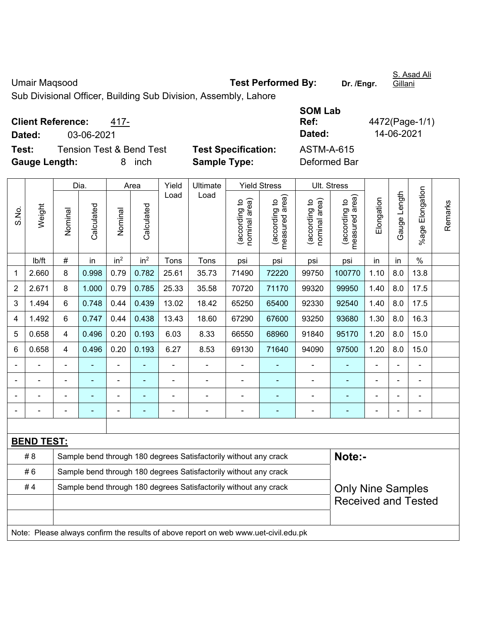Umair Maqsood **Test Performed By:** Dr. /Engr.

S. Asad Ali

Sub Divisional Officer, Building Sub Division, Assembly, Lahore

**Client Reference:** 417-

**Dated:** 03-06-2021 **Dated:** 14-06-2021

**Test:** Tension Test & Bend Test **Test Specification: Gauge Length:** 8 inch **Sample Type:** Deformed Bar

| <b>SOM Lab</b> |                |
|----------------|----------------|
| Ref:           | 4472(Page-1/1) |
| Dated:         | 14-06-2021     |
| ASTM-A-615     |                |
| Deformed Ror   |                |

|                |                   |                                                                  | Dia.       |                 | Area            | Yield          | Ultimate                                                                            |                                | <b>Yield Stress</b>             |                                | Ult. Stress                                 |                |              |                    |         |
|----------------|-------------------|------------------------------------------------------------------|------------|-----------------|-----------------|----------------|-------------------------------------------------------------------------------------|--------------------------------|---------------------------------|--------------------------------|---------------------------------------------|----------------|--------------|--------------------|---------|
| S.No.          | Weight            | Nominal                                                          | Calculated | Nominal         | Calculated      | Load           | Load                                                                                | (according to<br>nominal area) | measured area)<br>(according to | (according to<br>nominal area) | (according to<br>neasured area)<br>measured | Elongation     | Gauge Length | Elongation<br>%age | Remarks |
|                | lb/ft             | $\#$                                                             | in         | in <sup>2</sup> | in <sup>2</sup> | Tons           | Tons                                                                                | psi                            | psi                             | psi                            | psi                                         | in             | in           | $\%$               |         |
| 1              | 2.660             | 8                                                                | 0.998      | 0.79            | 0.782           | 25.61          | 35.73                                                                               | 71490                          | 72220                           | 99750                          | 100770                                      | 1.10           | 8.0          | 13.8               |         |
| 2              | 2.671             | 8                                                                | 1.000      | 0.79            | 0.785           | 25.33          | 35.58                                                                               | 70720                          | 71170                           | 99320                          | 99950                                       | 1.40           | 8.0          | 17.5               |         |
| 3              | 1.494             | 6                                                                | 0.748      | 0.44            | 0.439           | 13.02          | 18.42                                                                               | 65250                          | 65400                           | 92330                          | 92540                                       | 1.40           | 8.0          | 17.5               |         |
| 4              | 1.492             | 6                                                                | 0.747      | 0.44            | 0.438           | 13.43          | 18.60                                                                               | 67290                          | 67600                           | 93250                          | 93680                                       | 1.30           | 8.0          | 16.3               |         |
| 5              | 0.658             | 4                                                                | 0.496      | 0.20            | 0.193           | 6.03           | 8.33                                                                                | 66550                          | 68960                           | 91840                          | 95170                                       | 1.20           | 8.0          | 15.0               |         |
| 6              | 0.658             | 4                                                                | 0.496      | 0.20            | 0.193           | 6.27           | 8.53                                                                                | 69130                          | 71640                           | 94090                          | 97500                                       | 1.20           | 8.0          | 15.0               |         |
|                |                   | $\blacksquare$                                                   |            |                 |                 |                |                                                                                     | $\blacksquare$                 |                                 |                                |                                             |                |              |                    |         |
|                |                   |                                                                  |            |                 |                 |                |                                                                                     | $\blacksquare$                 | ä,                              | $\blacksquare$                 | ÷                                           |                |              | ÷                  |         |
| $\blacksquare$ |                   | $\blacksquare$                                                   | ۰          | ۰               |                 |                | $\blacksquare$                                                                      | $\blacksquare$                 | ۰                               | $\blacksquare$                 | ۰                                           | $\blacksquare$ |              | $\overline{a}$     |         |
| $\blacksquare$ |                   | $\blacksquare$                                                   | ä,         | $\blacksquare$  | ۰               | $\blacksquare$ | $\blacksquare$                                                                      | $\blacksquare$                 | $\blacksquare$                  | ÷                              | ٠                                           | $\blacksquare$ |              | $\frac{1}{2}$      |         |
|                |                   |                                                                  |            |                 |                 |                |                                                                                     |                                |                                 |                                |                                             |                |              |                    |         |
|                | <b>BEND TEST:</b> |                                                                  |            |                 |                 |                |                                                                                     |                                |                                 |                                |                                             |                |              |                    |         |
|                | # 8               |                                                                  |            |                 |                 |                | Sample bend through 180 degrees Satisfactorily without any crack                    |                                |                                 |                                | Note:-                                      |                |              |                    |         |
|                | #6                | Sample bend through 180 degrees Satisfactorily without any crack |            |                 |                 |                |                                                                                     |                                |                                 |                                |                                             |                |              |                    |         |
|                | #4                |                                                                  |            |                 |                 |                | Sample bend through 180 degrees Satisfactorily without any crack                    |                                |                                 |                                | <b>Only Nine Samples</b>                    |                |              |                    |         |
|                |                   |                                                                  |            |                 |                 |                |                                                                                     |                                |                                 |                                | <b>Received and Tested</b>                  |                |              |                    |         |
|                |                   |                                                                  |            |                 |                 |                |                                                                                     |                                |                                 |                                |                                             |                |              |                    |         |
|                |                   |                                                                  |            |                 |                 |                | Note: Please always confirm the results of above report on web www.uet-civil.edu.pk |                                |                                 |                                |                                             |                |              |                    |         |

Gillani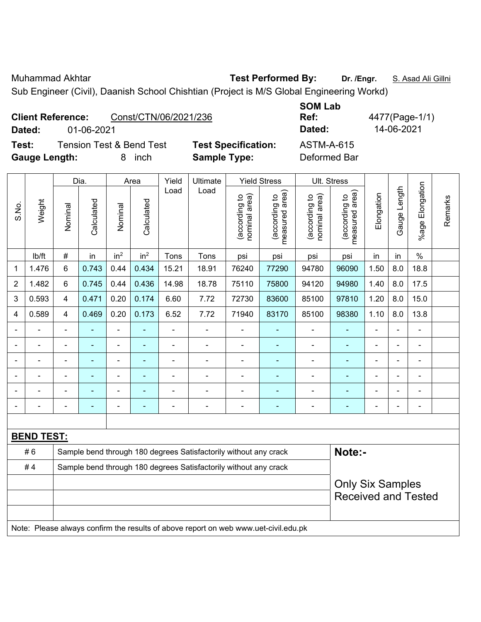Muhammad Akhtar **Test Performed By: Dr. /Engr.** S. Asad Ali Gillni

Sub Engineer (Civil), Daanish School Chishtian (Project is M/S Global Engineering Workd)

|        | <b>Client Reference:</b><br>Const/CTN/06/2021/236 |                            | <b>JUMLAD</b><br>Ref: | 4477(Page-1/ |
|--------|---------------------------------------------------|----------------------------|-----------------------|--------------|
| Dated: | 01-06-2021                                        |                            | Dated:                | 14-06-2021   |
| Test:  | Tension Test & Bend Test                          | <b>Test Specification:</b> | ASTM-A-615            |              |

**Gauge Length:** 8 inch **Sample Type:** Deformed Bar

**SOM Lab Ref:** 4477(Page-1/1)

|                |                         |                | Dia.           |                 | Area            | <b>Yield Stress</b> |                                                                                     | Ult. Stress                    |                                 |                                |                                             |                |              |                       |         |
|----------------|-------------------------|----------------|----------------|-----------------|-----------------|---------------------|-------------------------------------------------------------------------------------|--------------------------------|---------------------------------|--------------------------------|---------------------------------------------|----------------|--------------|-----------------------|---------|
| S.No.          | Weight                  | Nominal        | Calculated     | Nominal         | Calculated      | Load                | Load                                                                                | nominal area)<br>(according to | measured area)<br>(according to | nominal area)<br>(according to | (according to<br>measured area)<br>measured | Elongation     | Gauge Length | Elongation<br>$%$ age | Remarks |
|                | lb/ft                   | $\#$           | in             | in <sup>2</sup> | in <sup>2</sup> | Tons                | Tons                                                                                | psi                            | psi                             | psi                            | psi                                         | in             | in           | $\%$                  |         |
| 1              | 1.476                   | 6              | 0.743          | 0.44            | 0.434           | 15.21               | 18.91                                                                               | 76240                          | 77290                           | 94780                          | 96090                                       | 1.50           | 8.0          | 18.8                  |         |
| $\overline{2}$ | 1.482                   | $6\phantom{1}$ | 0.745          | 0.44            | 0.436           | 14.98               | 18.78                                                                               | 75110                          | 75800                           | 94120                          | 94980                                       | 1.40           | 8.0          | 17.5                  |         |
| 3              | 0.593                   | $\overline{4}$ | 0.471          | 0.20            | 0.174           | 6.60                | 7.72                                                                                | 72730                          | 83600                           | 85100                          | 97810                                       | 1.20           | 8.0          | 15.0                  |         |
| 4              | 0.589                   | $\overline{4}$ | 0.469          | 0.20            | 0.173           | 6.52                | 7.72                                                                                | 71940                          | 83170                           | 85100                          | 98380                                       | 1.10           | 8.0          | 13.8                  |         |
|                | ÷                       | $\blacksquare$ | $\blacksquare$ | $\frac{1}{2}$   | ÷               | ÷,                  | ÷                                                                                   | ä,                             | $\blacksquare$                  | ÷                              | $\blacksquare$                              | ä,             |              | $\blacksquare$        |         |
|                |                         | $\blacksquare$ | ÷              | ä,              |                 | ä,                  | $\blacksquare$                                                                      | $\blacksquare$                 |                                 | $\blacksquare$                 | $\blacksquare$                              |                |              | $\blacksquare$        |         |
|                |                         |                |                | $\blacksquare$  |                 |                     | $\blacksquare$                                                                      | $\blacksquare$                 |                                 |                                |                                             | $\blacksquare$ |              | $\blacksquare$        |         |
| $\blacksquare$ |                         | $\blacksquare$ | $\blacksquare$ | ÷,              | ۰               | $\blacksquare$      | $\blacksquare$                                                                      | $\blacksquare$                 | $\blacksquare$                  | $\overline{\phantom{a}}$       | $\blacksquare$                              | $\blacksquare$ |              | $\blacksquare$        |         |
| $\blacksquare$ |                         | $\blacksquare$ | $\blacksquare$ | ÷,              | ۰               |                     | Ē,                                                                                  | $\overline{a}$                 |                                 | $\blacksquare$                 | $\blacksquare$                              | $\blacksquare$ |              | $\blacksquare$        |         |
| $\blacksquare$ |                         | $\blacksquare$ | $\blacksquare$ | ÷,              | ٠               | $\blacksquare$      | $\blacksquare$                                                                      | $\blacksquare$                 | $\blacksquare$                  | $\blacksquare$                 | $\blacksquare$                              | $\blacksquare$ |              | $\blacksquare$        |         |
|                |                         |                |                |                 |                 |                     |                                                                                     |                                |                                 |                                |                                             |                |              |                       |         |
|                | <b>BEND TEST:</b>       |                |                |                 |                 |                     |                                                                                     |                                |                                 |                                |                                             |                |              |                       |         |
|                | #6                      |                |                |                 |                 |                     | Sample bend through 180 degrees Satisfactorily without any crack                    |                                |                                 |                                | Note:-                                      |                |              |                       |         |
|                | #4                      |                |                |                 |                 |                     | Sample bend through 180 degrees Satisfactorily without any crack                    |                                |                                 |                                |                                             |                |              |                       |         |
|                | <b>Only Six Samples</b> |                |                |                 |                 |                     |                                                                                     |                                |                                 |                                |                                             |                |              |                       |         |
|                |                         |                |                |                 |                 |                     |                                                                                     |                                |                                 |                                | <b>Received and Tested</b>                  |                |              |                       |         |
|                |                         |                |                |                 |                 |                     |                                                                                     |                                |                                 |                                |                                             |                |              |                       |         |
|                |                         |                |                |                 |                 |                     | Note: Please always confirm the results of above report on web www.uet-civil.edu.pk |                                |                                 |                                |                                             |                |              |                       |         |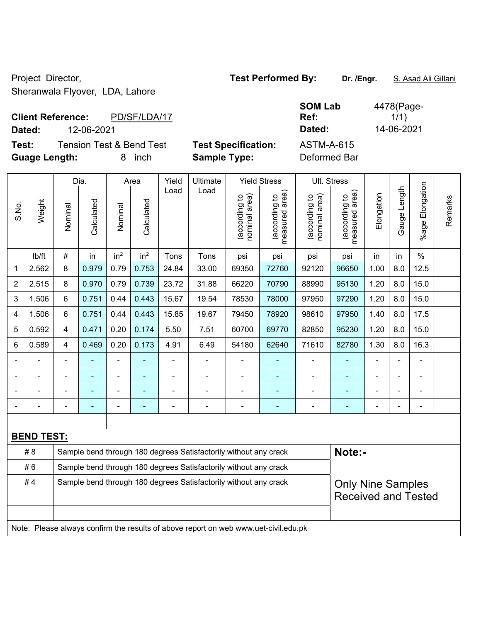Sheranwala Flyover, LDA, Lahore

### **Client Reference:** PD/SF/LDA/17 **Dated:** 12-06-2021 **Dated:** 14-06-2021

| est Specification: |  |
|--------------------|--|
| amnle Tyne:        |  |

| Test: | <b>Guage Length:</b> |         | <b>Tension Test &amp; Bend Test</b> | 8       | inch               |               | <b>Sample Type:</b> | <b>Test Specification:</b>                                                    |                                                                 | <b>ASTM-A-615</b><br>Deformed Bar           |                                                                 |            |                 |
|-------|----------------------|---------|-------------------------------------|---------|--------------------|---------------|---------------------|-------------------------------------------------------------------------------|-----------------------------------------------------------------|---------------------------------------------|-----------------------------------------------------------------|------------|-----------------|
| S.No. | Weight               | Nominal | Dia.<br>Calculated                  | Nominal | Area<br>Calculated | Yield<br>Load | Ultimate<br>Load    | ea)<br>요<br>rding<br>Ш<br>$\overline{\sigma}$<br>iε<br>Ε<br>ర్దె<br>es<br>Dor | <b>Yield Stress</b><br>area)<br>ᅌ<br>(according<br>ρg<br>neasur | ea)<br>₽<br>rding<br>ౚ<br>nominal<br>(accor | Ult. Stress<br>rea)<br>đ<br>(according<br>ω<br>᠊ᠣ<br>φ<br>neasu | Elongation | Length<br>Gauge |

|             |                   | Dia.                                                             |            | Area            |                          | Yield          | Ultimate                                                                            |                                | Yield Stress<br>UII. Stress     |                                |                                 |                |                              |                 |         |
|-------------|-------------------|------------------------------------------------------------------|------------|-----------------|--------------------------|----------------|-------------------------------------------------------------------------------------|--------------------------------|---------------------------------|--------------------------------|---------------------------------|----------------|------------------------------|-----------------|---------|
| S.No.       | Weight            | Nominal                                                          | Calculated | Nominal         | Calculated               | Load           | Load                                                                                | nominal area)<br>(according to | (according to<br>measured area) | nominal area)<br>(according to | (according to<br>measured area) | Elongation     | Gauge Length                 | %age Elongation | Remarks |
|             | lb/ft             | #                                                                | in         | in <sup>2</sup> | in <sup>2</sup>          | Tons           | Tons                                                                                | psi                            | psi                             | psi                            | psi                             | in             | in                           | $\%$            |         |
| $\mathbf 1$ | 2.562             | 8                                                                | 0.979      | 0.79            | 0.753                    | 24.84          | 33.00                                                                               | 69350                          | 72760                           | 92120                          | 96650                           | 1.00           | 8.0                          | 12.5            |         |
| 2           | 2.515             | 8                                                                | 0.970      | 0.79            | 0.739                    | 23.72          | 31.88                                                                               | 66220                          | 70790                           | 88990                          | 95130                           | 1.20           | 8.0                          | 15.0            |         |
| 3           | 1.506             | 6                                                                | 0.751      | 0.44            | 0.443                    | 15.67          | 19.54                                                                               | 78530                          | 78000                           | 97950                          | 97290                           | 1.20           | 8.0                          | 15.0            |         |
| 4           | 1.506             | 6                                                                | 0.751      | 0.44            | 0.443                    | 15.85          | 19.67                                                                               | 79450                          | 78920                           | 98610                          | 97950                           | 1.40           | 8.0                          | 17.5            |         |
| 5           | 0.592             | 4                                                                | 0.471      | 0.20            | 0.174                    | 5.50           | 7.51                                                                                | 60700                          | 69770                           | 82850                          | 95230                           | 1.20           | 8.0                          | 15.0            |         |
| 6           | 0.589             | 4                                                                | 0.469      | 0.20            | 0.173                    | 4.91           | 6.49                                                                                | 54180                          | 62640                           | 71610                          | 82780                           | 1.30           | 8.0                          | 16.3            |         |
|             |                   | $\blacksquare$                                                   |            | $\blacksquare$  |                          | $\blacksquare$ |                                                                                     | $\overline{\phantom{a}}$       |                                 |                                |                                 | $\blacksquare$ | $\blacksquare$               |                 |         |
|             |                   | $\blacksquare$                                                   | ۰          | ÷               | $\overline{\phantom{0}}$ | $\blacksquare$ | $\overline{\phantom{0}}$                                                            | $\blacksquare$                 | ۰                               | ۰                              | $\blacksquare$                  | $\blacksquare$ | $\qquad \qquad \blacksquare$ | $\blacksquare$  |         |
|             |                   | $\blacksquare$                                                   | ۰          | $\blacksquare$  | $\blacksquare$           | $\blacksquare$ | $\blacksquare$                                                                      | $\blacksquare$                 | ٠                               | ۰                              | $\blacksquare$                  | $\overline{a}$ | $\blacksquare$               | $\blacksquare$  |         |
|             |                   |                                                                  |            |                 |                          |                |                                                                                     | ä,                             | ۰                               |                                |                                 |                |                              |                 |         |
|             |                   |                                                                  |            |                 |                          |                |                                                                                     |                                |                                 |                                |                                 |                |                              |                 |         |
|             | <b>BEND TEST:</b> |                                                                  |            |                 |                          |                |                                                                                     |                                |                                 |                                |                                 |                |                              |                 |         |
|             | # 8               |                                                                  |            |                 |                          |                | Sample bend through 180 degrees Satisfactorily without any crack                    |                                |                                 |                                | Note:-                          |                |                              |                 |         |
|             | #6                | Sample bend through 180 degrees Satisfactorily without any crack |            |                 |                          |                |                                                                                     |                                |                                 |                                |                                 |                |                              |                 |         |
|             | #4                | Sample bend through 180 degrees Satisfactorily without any crack |            |                 |                          |                | <b>Only Nine Samples</b>                                                            |                                |                                 |                                |                                 |                |                              |                 |         |
|             |                   |                                                                  |            |                 |                          |                |                                                                                     |                                | <b>Received and Tested</b>      |                                |                                 |                |                              |                 |         |
|             |                   |                                                                  |            |                 |                          |                |                                                                                     |                                |                                 |                                |                                 |                |                              |                 |         |
|             |                   |                                                                  |            |                 |                          |                | Note: Please always confirm the results of above report on web www.uet-civil.edu.pk |                                |                                 |                                |                                 |                |                              |                 |         |

## Project Director, **Test Performed By:** Dr. /Engr. **S. Asad Ali Gillani** Ali Gillani

**SOM Lab Ref:** 

4478(Page-1/1)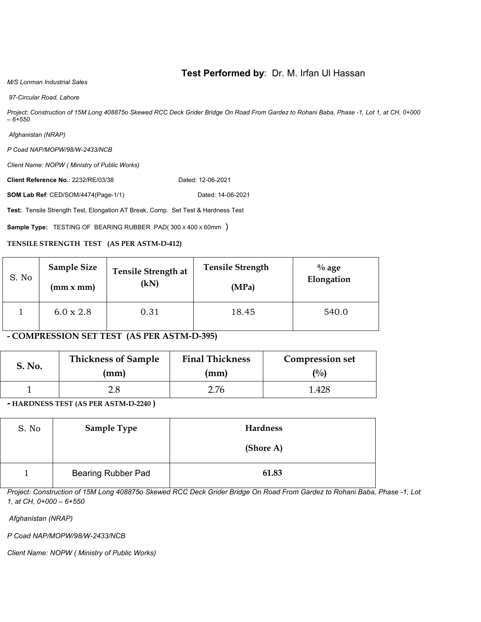#### **Test Performed by**: Dr. M. Irfan Ul Hassan

#### *M/S Lonman Industrial Sales*

 *97-Circular Road, Lahore* 

*Project: Construction of 15M Long 408875o Skewed RCC Deck Grider Bridge On Road From Gardez to Rohani Baba, Phase -1, Lot 1, at CH, 0+000 – 6+550* 

 *Afghanistan (NRAP)* 

*P Coad NAP/MOPW/98/W-2433/NCB* 

*Client Name: NOPW ( Ministry of Public Works)* 

**Client Reference No.: 2232/RE/03/38 Dated: 12-06-2021** 

**SOM Lab Ref**: CED/SOM/4474(Page-1/1) Dated: 14-06-2021

**Test:** Tensile Strength Test, Elongation AT Break, Comp. Set Test & Hardness Test

**Sample Type:** TESTING OF BEARING RUBBER PAD(300 x 400 x 60mm)

#### **TENSILE STRENGTH TEST (AS PER ASTM-D-412)**

| S. No | <b>Sample Size</b> | <b>Tensile Strength at</b> | <b>Tensile Strength</b> | $\%$ age   |
|-------|--------------------|----------------------------|-------------------------|------------|
|       | (mm x mm)          | (kN)                       | (MPa)                   | Elongation |
|       | $6.0 \times 2.8$   | 0.31                       | 18.45                   | 540.0      |

**- COMPRESSION SET TEST (AS PER ASTM-D-395)** 

| S. No. | <b>Thickness of Sample</b> | <b>Final Thickness</b> | <b>Compression set</b> |  |
|--------|----------------------------|------------------------|------------------------|--|
|        | (mm)                       | (mm)                   | (%)                    |  |
|        | 2.8                        | 2.76                   | 1.428                  |  |

**- HARDNESS TEST (AS PER ASTM-D-2240 )** 

| S. No | <b>Sample Type</b>        | Hardness  |
|-------|---------------------------|-----------|
|       |                           | (Shore A) |
|       | <b>Bearing Rubber Pad</b> | 61.83     |

*Project: Construction of 15M Long 408875o Skewed RCC Deck Grider Bridge On Road From Gardez to Rohani Baba, Phase -1, Lot 1, at CH, 0+000 – 6+550* 

 *Afghanistan (NRAP)* 

*P Coad NAP/MOPW/98/W-2433/NCB* 

*Client Name: NOPW ( Ministry of Public Works)*